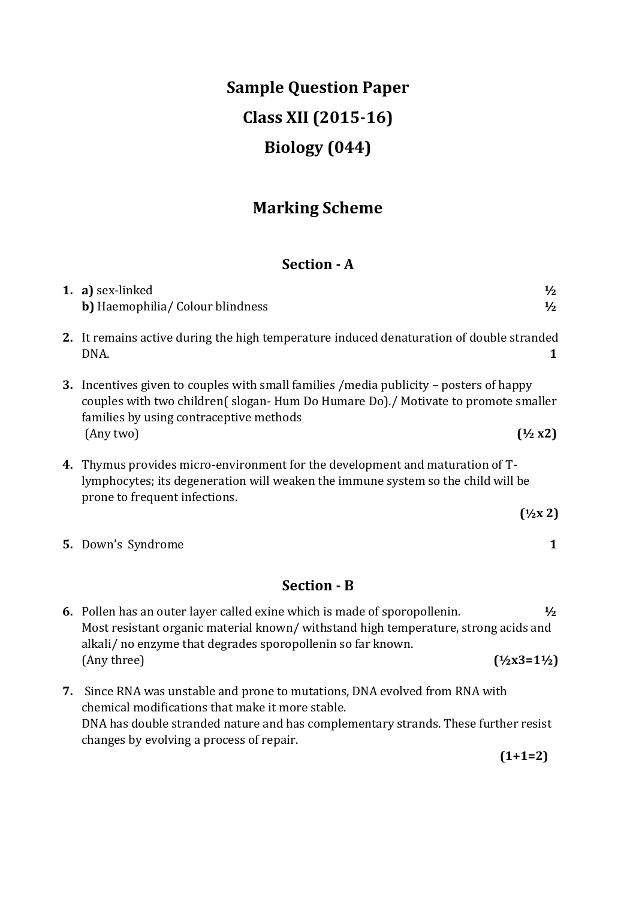# **Sample Question Paper Class XII (2015-16) Biology (044)**

## **Marking Scheme**

## **Section - A**

|    | 1. a) sex-linked<br>$\frac{1}{2}$<br><b>b</b> ) Haemophilia/ Colour blindness<br>$\frac{1}{2}$                                                                                                                                                  |
|----|-------------------------------------------------------------------------------------------------------------------------------------------------------------------------------------------------------------------------------------------------|
|    | 2. It remains active during the high temperature induced denaturation of double stranded<br>DNA.<br>1                                                                                                                                           |
|    | 3. Incentives given to couples with small families / media publicity - posters of happy<br>couples with two children(slogan-Hum Do Humare Do)./ Motivate to promote smaller<br>families by using contraceptive methods                          |
|    | (Any two)<br>$(\frac{1}{2}x^2)$                                                                                                                                                                                                                 |
|    | 4. Thymus provides micro-environment for the development and maturation of T-<br>lymphocytes; its degeneration will weaken the immune system so the child will be<br>prone to frequent infections.                                              |
|    | $(\frac{1}{2}x^2)$                                                                                                                                                                                                                              |
|    | 5. Down's Syndrome<br>1                                                                                                                                                                                                                         |
|    | <b>Section - B</b>                                                                                                                                                                                                                              |
|    | 6. Pollen has an outer layer called exine which is made of sporopollenin.<br>$\frac{1}{2}$<br>Most resistant organic material known/withstand high temperature, strong acids and<br>alkali/ no enzyme that degrades sporopollenin so far known. |
|    | $(\frac{1}{2}x3=1\frac{1}{2})$<br>(Any three)                                                                                                                                                                                                   |
| 7. | Since RNA was unstable and prone to mutations, DNA evolved from RNA with<br>chemical modifications that make it more stable.                                                                                                                    |
|    | DNA has double stranded nature and has complementary strands. These further resist<br>changes by evolving a process of repair.                                                                                                                  |
|    | $(1+1=2)$                                                                                                                                                                                                                                       |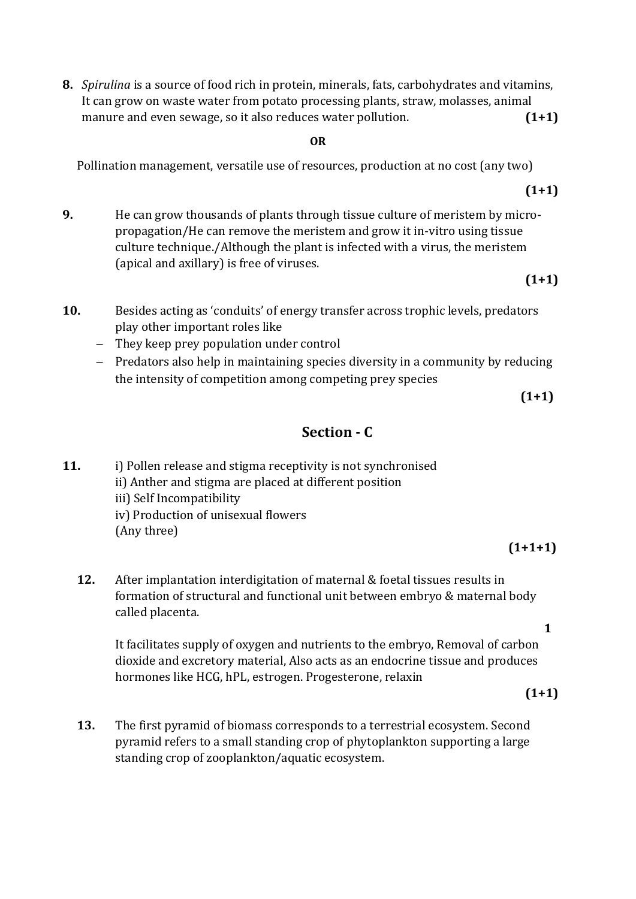**8.** *Spirulina* is a source of food rich in protein, minerals, fats, carbohydrates and vitamins, It can grow on waste water from potato processing plants, straw, molasses, animal manure and even sewage, so it also reduces water pollution. **(1+1)**

#### **OR**

Pollination management, versatile use of resources, production at no cost (any two)

**9.** He can grow thousands of plants through tissue culture of meristem by micropropagation/He can remove the meristem and grow it in-vitro using tissue culture technique./Although the plant is infected with a virus, the meristem (apical and axillary) is free of viruses.

## **(1+1)**

**(1+1)**

- **10.** Besides acting as 'conduits' of energy transfer across trophic levels, predators play other important roles like
	- They keep prey population under control
	- Predators also help in maintaining species diversity in a community by reducing the intensity of competition among competing prey species

 $(1+1)$ 

## **Section - C**

- **11.** i) Pollen release and stigma receptivity is not synchronised ii) Anther and stigma are placed at different position iii) Self Incompatibility iv) Production of unisexual flowers (Any three)
	- **12.** After implantation interdigitation of maternal & foetal tissues results in formation of structural and functional unit between embryo & maternal body called placenta.

It facilitates supply of oxygen and nutrients to the embryo, Removal of carbon dioxide and excretory material, Also acts as an endocrine tissue and produces hormones like HCG, hPL, estrogen. Progesterone, relaxin

 **(1+1)**

**13.** The first pyramid of biomass corresponds to a terrestrial ecosystem. Second pyramid refers to a small standing crop of phytoplankton supporting a large standing crop of zooplankton/aquatic ecosystem.

**1**

**(1+1+1)**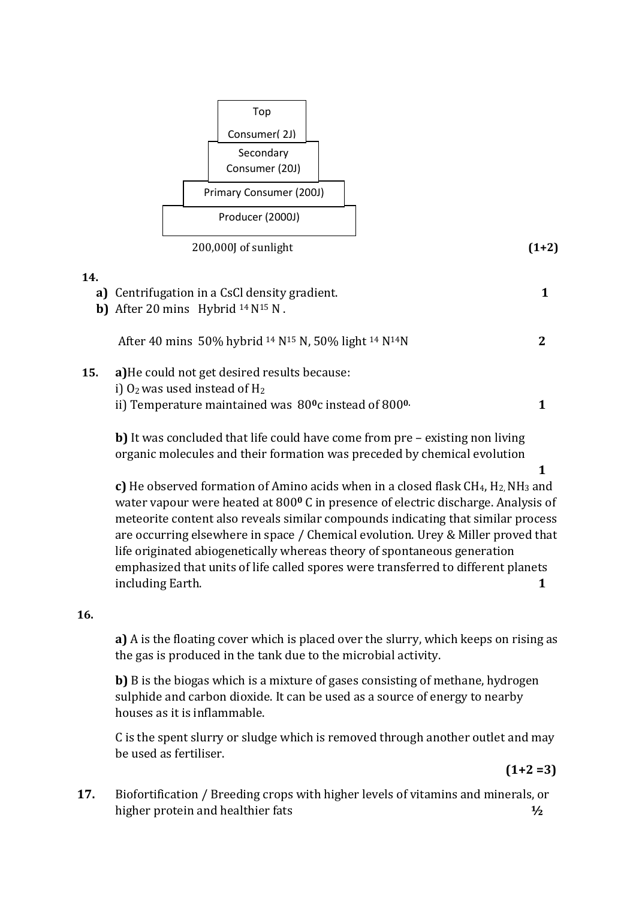

#### **14.**

- **a)** Centrifugation in a CsCl density gradient. **1 b)** After 20 mins Hybrid  $^{14}$  N<sup>15</sup> N. After 40 mins 50% hybrid <sup>14</sup> N<sup>15</sup> N, 50% light <sup>14</sup> N14N **2**
- **15. a)**He could not get desired results because: i)  $O_2$  was used instead of  $H_2$ ii) Temperature maintained was 80**0**c instead of 800**0. 1**

**b)** It was concluded that life could have come from pre – existing non living organic molecules and their formation was preceded by chemical evolution

**1**

**c)** He observed formation of Amino acids when in a closed flask CH<sub>4</sub>, H<sub>2</sub>, NH<sub>3</sub> and water vapour were heated at 800**<sup>0</sup>** C in presence of electric discharge. Analysis of meteorite content also reveals similar compounds indicating that similar process are occurring elsewhere in space / Chemical evolution. Urey & Miller proved that life originated abiogenetically whereas theory of spontaneous generation emphasized that units of life called spores were transferred to different planets including Earth. **1**

## **16.**

**a)** A is the floating cover which is placed over the slurry, which keeps on rising as the gas is produced in the tank due to the microbial activity.

**b)** B is the biogas which is a mixture of gases consisting of methane, hydrogen sulphide and carbon dioxide. It can be used as a source of energy to nearby houses as it is inflammable.

C is the spent slurry or sludge which is removed through another outlet and may be used as fertiliser.

 **(1+2 =3)**

**17.** Biofortification / Breeding crops with higher levels of vitamins and minerals, or higher protein and healthier fats **½**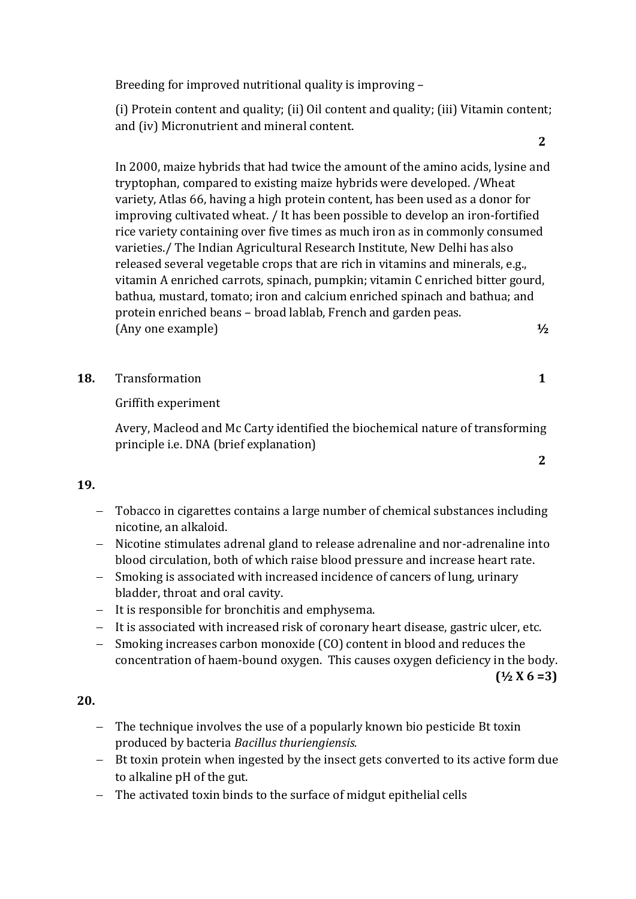Breeding for improved nutritional quality is improving –

(i) Protein content and quality; (ii) Oil content and quality; (iii) Vitamin content; and (iv) Micronutrient and mineral content.

In 2000, maize hybrids that had twice the amount of the amino acids, lysine and tryptophan, compared to existing maize hybrids were developed. /Wheat variety, Atlas 66, having a high protein content, has been used as a donor for improving cultivated wheat. / It has been possible to develop an iron-fortified rice variety containing over five times as much iron as in commonly consumed varieties./ The Indian Agricultural Research Institute, New Delhi has also released several vegetable crops that are rich in vitamins and minerals, e.g., vitamin A enriched carrots, spinach, pumpkin; vitamin C enriched bitter gourd, bathua, mustard, tomato; iron and calcium enriched spinach and bathua; and protein enriched beans – broad lablab, French and garden peas. (Any one example) **½**

**18.** Transformation **1**

Griffith experiment

 Avery, Macleod and Mc Carty identified the biochemical nature of transforming principle i.e. DNA (brief explanation)

## **19.**

- Tobacco in cigarettes contains a large number of chemical substances including nicotine, an alkaloid.
- Nicotine stimulates adrenal gland to release adrenaline and nor-adrenaline into blood circulation, both of which raise blood pressure and increase heart rate.
- Smoking is associated with increased incidence of cancers of lung, urinary bladder, throat and oral cavity.
- It is responsible for bronchitis and emphysema.
- It is associated with increased risk of coronary heart disease, gastric ulcer, etc.
- Smoking increases carbon monoxide (CO) content in blood and reduces the concentration of haem-bound oxygen. This causes oxygen deficiency in the body.

#### **(½ X 6 =3)**

**2** 

## **20.**

- The technique involves the use of a popularly known bio pesticide Bt toxin produced by bacteria *Bacillus thuriengiensis.*
- Bt toxin protein when ingested by the insect gets converted to its active form due to alkaline pH of the gut.
- The activated toxin binds to the surface of midgut epithelial cells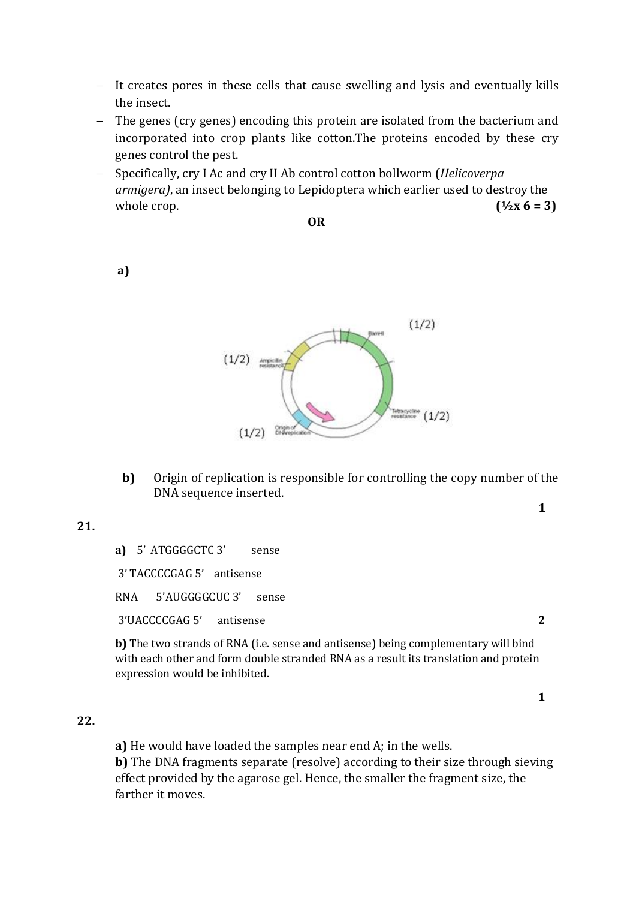- It creates pores in these cells that cause swelling and lysis and eventually kills the insect.
- The genes (cry genes) encoding this protein are isolated from the bacterium and incorporated into crop plants like cotton.The proteins encoded by these cry genes control the pest.
- Specifically, cry I Ac and cry II Ab control cotton bollworm (*Helicoverpa armigera)*, an insect belonging to Lepidoptera which earlier used to destroy the whole crop.  $(1/2x 6 = 3)$

**OR** 

 $(1/2)$  $(1/2)$ Tetracycline (1/2)  $(1/2)$ 

**b)** Origin of replication is responsible for controlling the copy number of the DNA sequence inserted.

**21.** 

**a)** 5' ATGGGGCTC 3' sense

3' TACCCCGAG 5' antisense

RNA 5'AUGGGGCUC 3' sense

3'UACCCCGAG 5' antisense **2**

**b)** The two strands of RNA (i.e. sense and antisense) being complementary will bind with each other and form double stranded RNA as a result its translation and protein expression would be inhibited.

**22.** 

**a)** He would have loaded the samples near end A; in the wells. **b)** The DNA fragments separate (resolve) according to their size through sieving effect provided by the agarose gel. Hence, the smaller the fragment size, the farther it moves.

**a)** 

**1**

**1**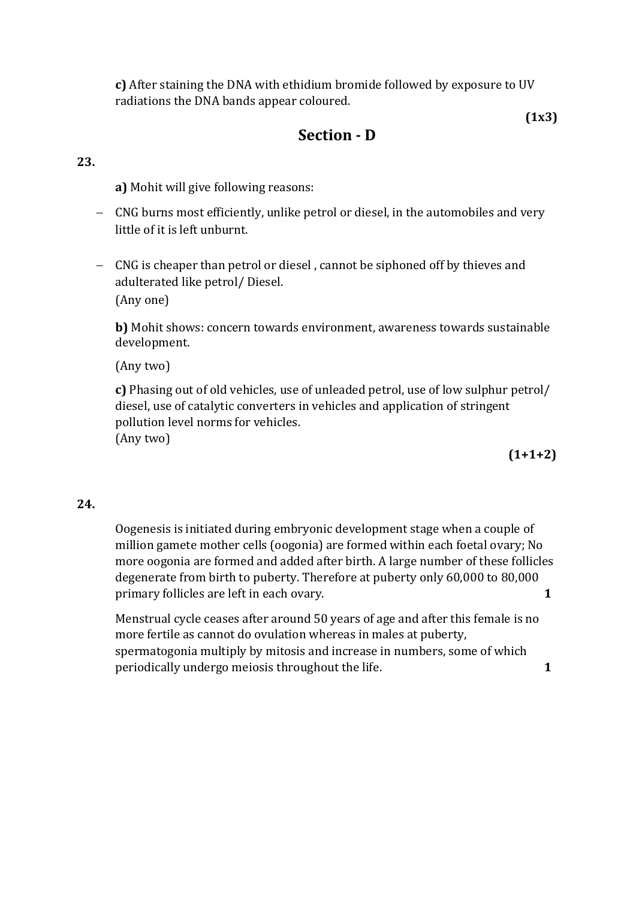**c)** After staining the DNA with ethidium bromide followed by exposure to UV radiations the DNA bands appear coloured.

## **Section - D**

**23.**

**a)** Mohit will give following reasons:

- CNG burns most efficiently, unlike petrol or diesel, in the automobiles and very little of it is left unburnt.
- CNG is cheaper than petrol or diesel , cannot be siphoned off by thieves and adulterated like petrol/ Diesel. (Any one)

**b)** Mohit shows: concern towards environment, awareness towards sustainable development.

(Any two)

**c)** Phasing out of old vehicles, use of unleaded petrol, use of low sulphur petrol/ diesel, use of catalytic converters in vehicles and application of stringent pollution level norms for vehicles.

(Any two)

**(1+1+2)**

 **(1x3)**

## **24.**

Oogenesis is initiated during embryonic development stage when a couple of million gamete mother cells (oogonia) are formed within each foetal ovary; No more oogonia are formed and added after birth. A large number of these follicles degenerate from birth to puberty. Therefore at puberty only 60,000 to 80,000 primary follicles are left in each ovary. **1** 

Menstrual cycle ceases after around 50 years of age and after this female is no more fertile as cannot do ovulation whereas in males at puberty, spermatogonia multiply by mitosis and increase in numbers, some of which periodically undergo meiosis throughout the life. **1**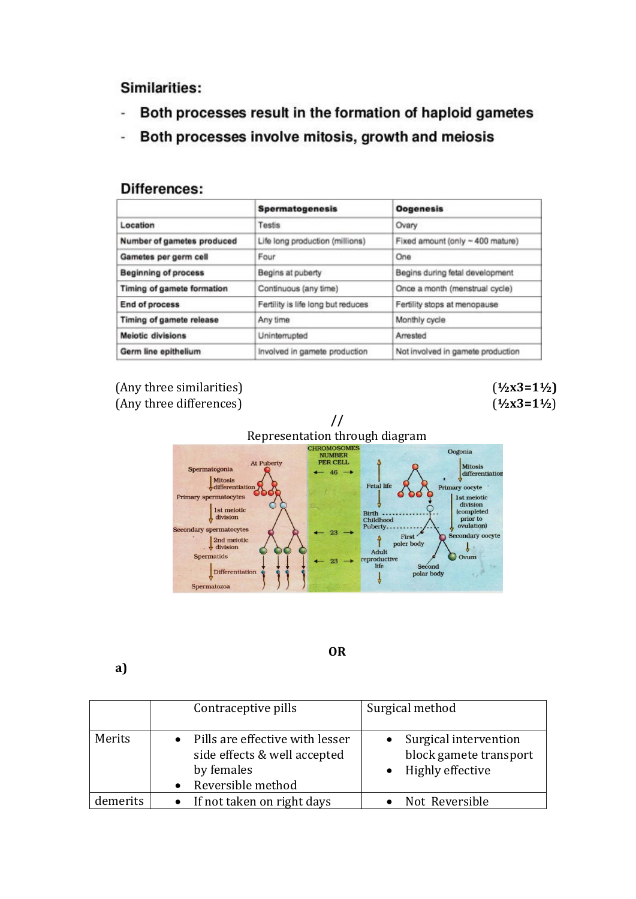Similarities:

- Both processes result in the formation of haploid gametes Ù,
- Both processes involve mitosis, growth and meiosis  $\frac{1}{2}$

## Differences:

|                                 | <b>Spermatogenesis</b>             | <b>Oogenesis</b>                  |
|---------------------------------|------------------------------------|-----------------------------------|
| Location                        | Testis                             | Ovary                             |
| Number of gametes produced      | Life long production (millions)    | Fixed amount (only ~ 400 mature)  |
| Gametes per germ cell           | Four                               | One                               |
| <b>Beginning of process</b>     | Begins at puberty                  | Begins during fetal development   |
| Timing of gamete formation      | Continuous (any time)              | Once a month (menstrual cycle)    |
| End of process                  | Fertility is life long but reduces | Fertility stops at menopause      |
| <b>Timing of gamete release</b> | Any time                           | Monthly cycle                     |
| <b>Meiotic divisions</b>        | Uninterrupted                      | Arrested                          |
| Germ line epithelium            | Involved in gamete production      | Not involved in gamete production |

## (Any three similarities) (**½x3=1½)** (Any three differences) (**½x3=1½**)



**OR**

**a)**

|          | Contraceptive pills                                                                                  | Surgical method                                                         |
|----------|------------------------------------------------------------------------------------------------------|-------------------------------------------------------------------------|
| Merits   | • Pills are effective with lesser<br>side effects & well accepted<br>by females<br>Reversible method | • Surgical intervention<br>block gamete transport<br>• Highly effective |
| demerits | • If not taken on right days                                                                         | Not Reversible                                                          |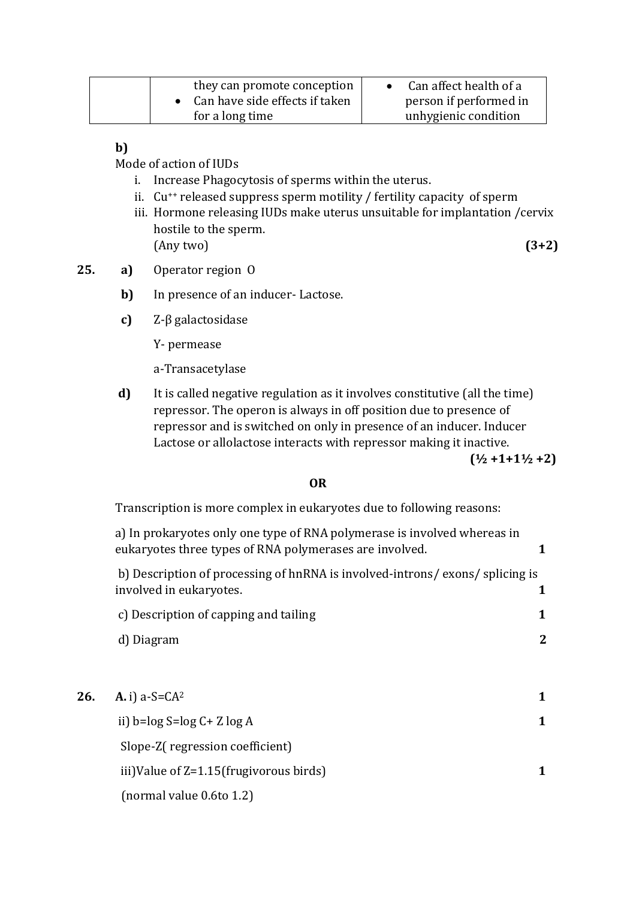| they can promote conception<br>Can have side effects if taken | Can affect health of a<br>person if performed in |
|---------------------------------------------------------------|--------------------------------------------------|
| for a long time                                               | unhygienic condition                             |

**b)**

Mode of action of IUDs

- i. Increase Phagocytosis of sperms within the uterus.
- ii. Cu++ released suppress sperm motility / fertility capacity of sperm
- iii. Hormone releasing IUDs make uterus unsuitable for implantation /cervix hostile to the sperm. (Any two) **(3+2)**
- **25. a)** Operator region O
	- **b)** In presence of an inducer-Lactose.
	- **c)** Z-β galactosidase

Y- permease

a-Transacetylase

**d)** It is called negative regulation as it involves constitutive (all the time) repressor. The operon is always in off position due to presence of repressor and is switched on only in presence of an inducer. Inducer Lactose or allolactose interacts with repressor making it inactive.

**(½ +1+1½ +2)**

## **OR**

Transcription is more complex in eukaryotes due to following reasons:

|     | a) In prokaryotes only one type of RNA polymerase is involved whereas in<br>eukaryotes three types of RNA polymerases are involved. | 1              |
|-----|-------------------------------------------------------------------------------------------------------------------------------------|----------------|
|     | b) Description of processing of hnRNA is involved-introns/exons/splicing is<br>involved in eukaryotes.                              | 1              |
|     | c) Description of capping and tailing                                                                                               | 1              |
|     | d) Diagram                                                                                                                          | $\overline{2}$ |
|     |                                                                                                                                     |                |
| 26. | <b>A.</b> i) $a-S=CA^2$                                                                                                             | 1              |
|     | ii) $b = log S = log C + Z log A$                                                                                                   | 1              |
|     | Slope-Z(regression coefficient)                                                                                                     |                |
|     | iii)Value of Z=1.15(frugivorous birds)                                                                                              | 1              |
|     | (normal value 0.6to 1.2)                                                                                                            |                |
|     |                                                                                                                                     |                |